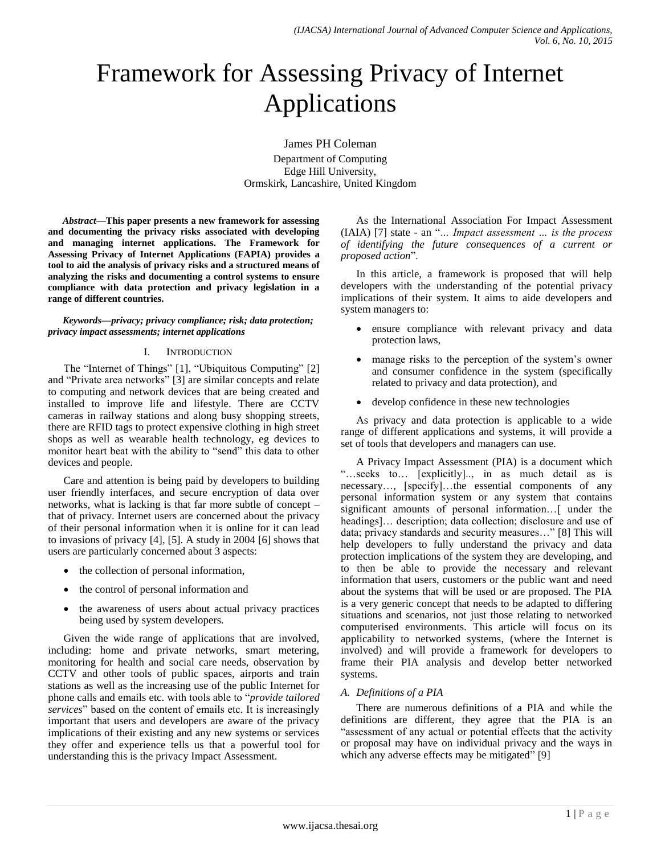# Framework for Assessing Privacy of Internet Applications

James PH Coleman

Department of Computing Edge Hill University, Ormskirk, Lancashire, United Kingdom

*Abstract***—This paper presents a new framework for assessing and documenting the privacy risks associated with developing and managing internet applications. The Framework for Assessing Privacy of Internet Applications (FAPIA) provides a tool to aid the analysis of privacy risks and a structured means of analyzing the risks and documenting a control systems to ensure compliance with data protection and privacy legislation in a range of different countries.**

*Keywords—privacy; privacy compliance; risk; data protection; privacy impact assessments; internet applications*

#### I. INTRODUCTION

The "Internet of Things" [1], "Ubiquitous Computing" [2] and "Private area networks" [3] are similar concepts and relate to computing and network devices that are being created and installed to improve life and lifestyle. There are CCTV cameras in railway stations and along busy shopping streets, there are RFID tags to protect expensive clothing in high street shops as well as wearable health technology, eg devices to monitor heart beat with the ability to "send" this data to other devices and people.

Care and attention is being paid by developers to building user friendly interfaces, and secure encryption of data over networks, what is lacking is that far more subtle of concept – that of privacy. Internet users are concerned about the privacy of their personal information when it is online for it can lead to invasions of privacy [4], [5]. A study in 2004 [6] shows that users are particularly concerned about 3 aspects:

- the collection of personal information,
- the control of personal information and
- the awareness of users about actual privacy practices being used by system developers.

Given the wide range of applications that are involved, including: home and private networks, smart metering, monitoring for health and social care needs, observation by CCTV and other tools of public spaces, airports and train stations as well as the increasing use of the public Internet for phone calls and emails etc. with tools able to "*provide tailored services*" based on the content of emails etc. It is increasingly important that users and developers are aware of the privacy implications of their existing and any new systems or services they offer and experience tells us that a powerful tool for understanding this is the privacy Impact Assessment.

As the International Association For Impact Assessment (IAIA) [7] state - an "*… Impact assessment … is the process of identifying the future consequences of a current or proposed action*".

In this article, a framework is proposed that will help developers with the understanding of the potential privacy implications of their system. It aims to aide developers and system managers to:

- ensure compliance with relevant privacy and data protection laws,
- manage risks to the perception of the system's owner and consumer confidence in the system (specifically related to privacy and data protection), and
- develop confidence in these new technologies

As privacy and data protection is applicable to a wide range of different applications and systems, it will provide a set of tools that developers and managers can use.

A Privacy Impact Assessment (PIA) is a document which "…seeks to… [explicitly].., in as much detail as is necessary…, [specify]…the essential components of any personal information system or any system that contains significant amounts of personal information…[ under the headings]... description; data collection; disclosure and use of data; privacy standards and security measures…" [8] This will help developers to fully understand the privacy and data protection implications of the system they are developing, and to then be able to provide the necessary and relevant information that users, customers or the public want and need about the systems that will be used or are proposed. The PIA is a very generic concept that needs to be adapted to differing situations and scenarios, not just those relating to networked computerised environments. This article will focus on its applicability to networked systems, (where the Internet is involved) and will provide a framework for developers to frame their PIA analysis and develop better networked systems.

## *A. Definitions of a PIA*

There are numerous definitions of a PIA and while the definitions are different, they agree that the PIA is an "assessment of any actual or potential effects that the activity or proposal may have on individual privacy and the ways in which any adverse effects may be mitigated" [9]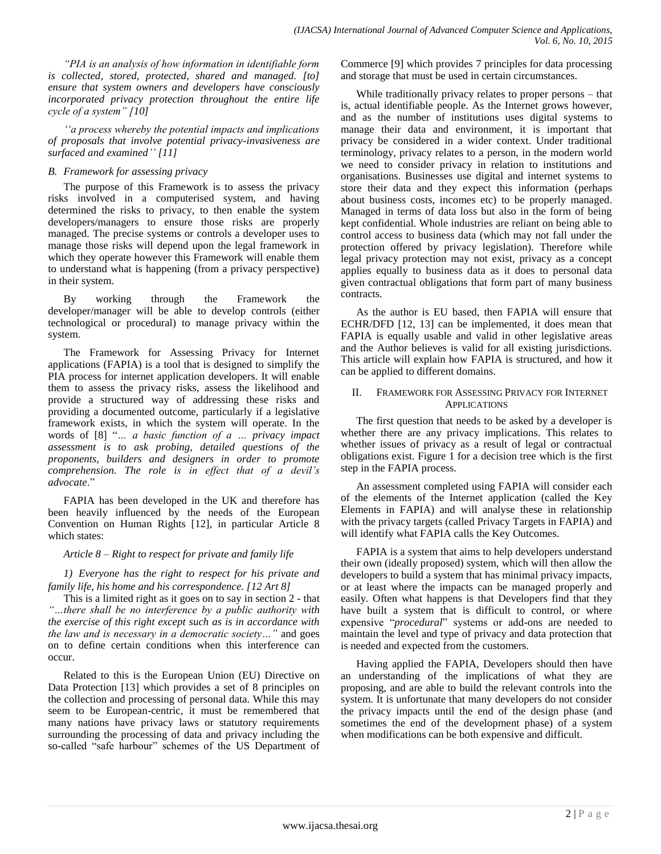*"PIA is an analysis of how information in identifiable form is collected, stored, protected, shared and managed. [to] ensure that system owners and developers have consciously incorporated privacy protection throughout the entire life cycle of a system" [10]*

*""a process whereby the potential impacts and implications of proposals that involve potential privacy-invasiveness are surfaced and examined"" [11]*

## *B. Framework for assessing privacy*

The purpose of this Framework is to assess the privacy risks involved in a computerised system, and having determined the risks to privacy, to then enable the system developers/managers to ensure those risks are properly managed. The precise systems or controls a developer uses to manage those risks will depend upon the legal framework in which they operate however this Framework will enable them to understand what is happening (from a privacy perspective) in their system.

By working through the Framework the developer/manager will be able to develop controls (either technological or procedural) to manage privacy within the system.

The Framework for Assessing Privacy for Internet applications (FAPIA) is a tool that is designed to simplify the PIA process for internet application developers. It will enable them to assess the privacy risks, assess the likelihood and provide a structured way of addressing these risks and providing a documented outcome, particularly if a legislative framework exists, in which the system will operate. In the words of [8] "*… a basic function of a … privacy impact assessment is to ask probing, detailed questions of the proponents, builders and designers in order to promote comprehension. The role is in effect that of a devil"s advocate*."

FAPIA has been developed in the UK and therefore has been heavily influenced by the needs of the European Convention on Human Rights [12], in particular Article 8 which states:

## *Article 8 – Right to respect for private and family life*

*1) Everyone has the right to respect for his private and family life, his home and his correspondence. [12 Art 8]*

This is a limited right as it goes on to say in section 2 - that *"…there shall be no interference by a public authority with the exercise of this right except such as is in accordance with the law and is necessary in a democratic society…"* and goes on to define certain conditions when this interference can occur.

Related to this is the European Union (EU) Directive on Data Protection [13] which provides a set of 8 principles on the collection and processing of personal data. While this may seem to be European-centric, it must be remembered that many nations have privacy laws or statutory requirements surrounding the processing of data and privacy including the so-called "safe harbour" schemes of the US Department of Commerce [9] which provides 7 principles for data processing and storage that must be used in certain circumstances.

While traditionally privacy relates to proper persons – that is, actual identifiable people. As the Internet grows however, and as the number of institutions uses digital systems to manage their data and environment, it is important that privacy be considered in a wider context. Under traditional terminology, privacy relates to a person, in the modern world we need to consider privacy in relation to institutions and organisations. Businesses use digital and internet systems to store their data and they expect this information (perhaps about business costs, incomes etc) to be properly managed. Managed in terms of data loss but also in the form of being kept confidential. Whole industries are reliant on being able to control access to business data (which may not fall under the protection offered by privacy legislation). Therefore while legal privacy protection may not exist, privacy as a concept applies equally to business data as it does to personal data given contractual obligations that form part of many business contracts.

As the author is EU based, then FAPIA will ensure that ECHR/DFD [12, 13] can be implemented, it does mean that FAPIA is equally usable and valid in other legislative areas and the Author believes is valid for all existing jurisdictions. This article will explain how FAPIA is structured, and how it can be applied to different domains.

## II. FRAMEWORK FOR ASSESSING PRIVACY FOR INTERNET APPLICATIONS

The first question that needs to be asked by a developer is whether there are any privacy implications. This relates to whether issues of privacy as a result of legal or contractual obligations exist. Figure 1 for a decision tree which is the first step in the FAPIA process.

An assessment completed using FAPIA will consider each of the elements of the Internet application (called the Key Elements in FAPIA) and will analyse these in relationship with the privacy targets (called Privacy Targets in FAPIA) and will identify what FAPIA calls the Key Outcomes.

FAPIA is a system that aims to help developers understand their own (ideally proposed) system, which will then allow the developers to build a system that has minimal privacy impacts, or at least where the impacts can be managed properly and easily. Often what happens is that Developers find that they have built a system that is difficult to control, or where expensive "*procedural*" systems or add-ons are needed to maintain the level and type of privacy and data protection that is needed and expected from the customers.

Having applied the FAPIA, Developers should then have an understanding of the implications of what they are proposing, and are able to build the relevant controls into the system. It is unfortunate that many developers do not consider the privacy impacts until the end of the design phase (and sometimes the end of the development phase) of a system when modifications can be both expensive and difficult.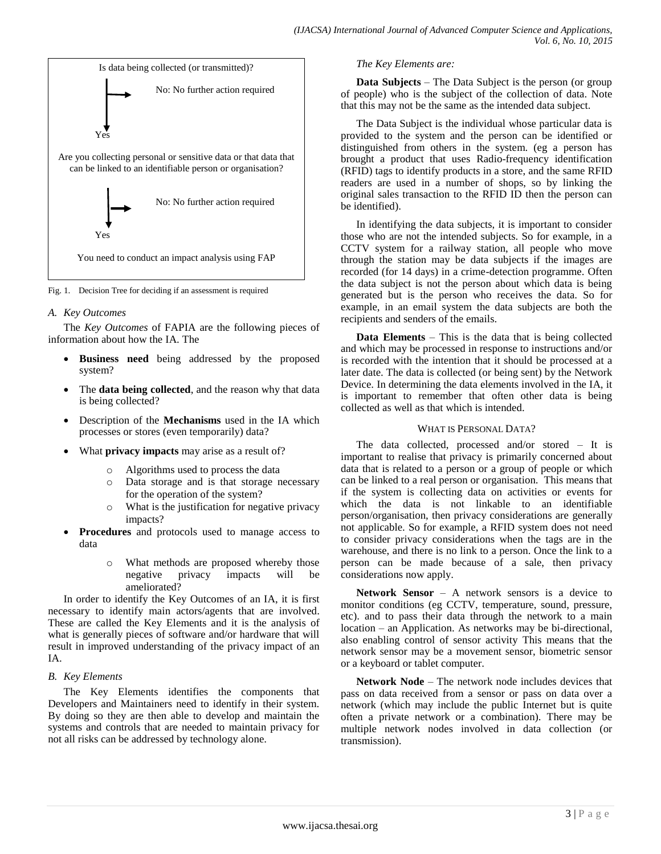

Fig. 1. Decision Tree for deciding if an assessment is required

#### *A. Key Outcomes*

The *Key Outcomes* of FAPIA are the following pieces of information about how the IA. The

- **Business need** being addressed by the proposed system?
- The **data being collected**, and the reason why that data is being collected?
- Description of the **Mechanisms** used in the IA which processes or stores (even temporarily) data?
- What **privacy impacts** may arise as a result of?
	- Algorithms used to process the data
	- o Data storage and is that storage necessary for the operation of the system?
	- o What is the justification for negative privacy impacts?
- **Procedures** and protocols used to manage access to data
	- o What methods are proposed whereby those negative privacy impacts will be ameliorated?

In order to identify the Key Outcomes of an IA, it is first necessary to identify main actors/agents that are involved. These are called the Key Elements and it is the analysis of what is generally pieces of software and/or hardware that will result in improved understanding of the privacy impact of an IA.

## *B. Key Elements*

The Key Elements identifies the components that Developers and Maintainers need to identify in their system. By doing so they are then able to develop and maintain the systems and controls that are needed to maintain privacy for not all risks can be addressed by technology alone.

## *The Key Elements are:*

**Data Subjects** – The Data Subject is the person (or group of people) who is the subject of the collection of data. Note that this may not be the same as the intended data subject.

The Data Subject is the individual whose particular data is provided to the system and the person can be identified or distinguished from others in the system. (eg a person has brought a product that uses Radio-frequency identification (RFID) tags to identify products in a store, and the same RFID readers are used in a number of shops, so by linking the original sales transaction to the RFID ID then the person can be identified).

In identifying the data subjects, it is important to consider those who are not the intended subjects. So for example, in a CCTV system for a railway station, all people who move through the station may be data subjects if the images are recorded (for 14 days) in a crime-detection programme. Often the data subject is not the person about which data is being generated but is the person who receives the data. So for example, in an email system the data subjects are both the recipients and senders of the emails.

**Data Elements** – This is the data that is being collected and which may be processed in response to instructions and/or is recorded with the intention that it should be processed at a later date. The data is collected (or being sent) by the Network Device. In determining the data elements involved in the IA, it is important to remember that often other data is being collected as well as that which is intended.

## WHAT IS PERSONAL DATA?

The data collected, processed and/or stored – It is important to realise that privacy is primarily concerned about data that is related to a person or a group of people or which can be linked to a real person or organisation. This means that if the system is collecting data on activities or events for which the data is not linkable to an identifiable person/organisation, then privacy considerations are generally not applicable. So for example, a RFID system does not need to consider privacy considerations when the tags are in the warehouse, and there is no link to a person. Once the link to a person can be made because of a sale, then privacy considerations now apply.

**Network Sensor** – A network sensors is a device to monitor conditions (eg CCTV, temperature, sound, pressure, etc). and to pass their data through the network to a main location – an Application. As networks may be bi-directional, also enabling control of sensor activity This means that the network sensor may be a movement sensor, biometric sensor or a keyboard or tablet computer.

**Network Node** – The network node includes devices that pass on data received from a sensor or pass on data over a network (which may include the public Internet but is quite often a private network or a combination). There may be multiple network nodes involved in data collection (or transmission).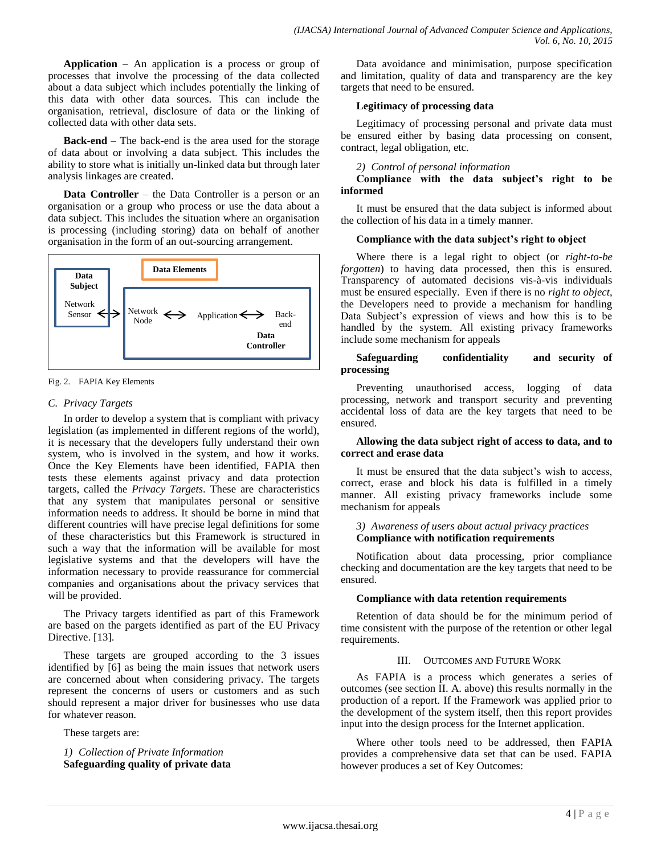**Application** – An application is a process or group of processes that involve the processing of the data collected about a data subject which includes potentially the linking of this data with other data sources. This can include the organisation, retrieval, disclosure of data or the linking of collected data with other data sets.

**Back-end** – The back-end is the area used for the storage of data about or involving a data subject. This includes the ability to store what is initially un-linked data but through later analysis linkages are created.

**Data Controller** – the Data Controller is a person or an organisation or a group who process or use the data about a data subject. This includes the situation where an organisation is processing (including storing) data on behalf of another organisation in the form of an out-sourcing arrangement.



Fig. 2. FAPIA Key Elements

## *C. Privacy Targets*

In order to develop a system that is compliant with privacy legislation (as implemented in different regions of the world), it is necessary that the developers fully understand their own system, who is involved in the system, and how it works. Once the Key Elements have been identified, FAPIA then tests these elements against privacy and data protection targets, called the *Privacy Targets*. These are characteristics that any system that manipulates personal or sensitive information needs to address. It should be borne in mind that different countries will have precise legal definitions for some of these characteristics but this Framework is structured in such a way that the information will be available for most legislative systems and that the developers will have the information necessary to provide reassurance for commercial companies and organisations about the privacy services that will be provided.

The Privacy targets identified as part of this Framework are based on the pargets identified as part of the EU Privacy Directive. [13].

These targets are grouped according to the 3 issues identified by [6] as being the main issues that network users are concerned about when considering privacy. The targets represent the concerns of users or customers and as such should represent a major driver for businesses who use data for whatever reason.

These targets are:

*1) Collection of Private Information* **Safeguarding quality of private data**

Data avoidance and minimisation, purpose specification and limitation, quality of data and transparency are the key targets that need to be ensured.

## **Legitimacy of processing data**

Legitimacy of processing personal and private data must be ensured either by basing data processing on consent, contract, legal obligation, etc.

*2) Control of personal information*

## **Compliance with the data subject's right to be informed**

It must be ensured that the data subject is informed about the collection of his data in a timely manner.

## **Compliance with the data subject's right to object**

Where there is a legal right to object (or *right-to-be forgotten*) to having data processed, then this is ensured. Transparency of automated decisions vis-à-vis individuals must be ensured especially. Even if there is no *right to object*, the Developers need to provide a mechanism for handling Data Subject's expression of views and how this is to be handled by the system. All existing privacy frameworks include some mechanism for appeals

## **Safeguarding confidentiality and security of processing**

Preventing unauthorised access, logging of data processing, network and transport security and preventing accidental loss of data are the key targets that need to be ensured.

## **Allowing the data subject right of access to data, and to correct and erase data**

It must be ensured that the data subject's wish to access, correct, erase and block his data is fulfilled in a timely manner. All existing privacy frameworks include some mechanism for appeals

## *3) Awareness of users about actual privacy practices* **Compliance with notification requirements**

Notification about data processing, prior compliance checking and documentation are the key targets that need to be ensured.

## **Compliance with data retention requirements**

Retention of data should be for the minimum period of time consistent with the purpose of the retention or other legal requirements.

## III. OUTCOMES AND FUTURE WORK

As FAPIA is a process which generates a series of outcomes (see section II. A. above) this results normally in the production of a report. If the Framework was applied prior to the development of the system itself, then this report provides input into the design process for the Internet application.

Where other tools need to be addressed, then FAPIA provides a comprehensive data set that can be used. FAPIA however produces a set of Key Outcomes: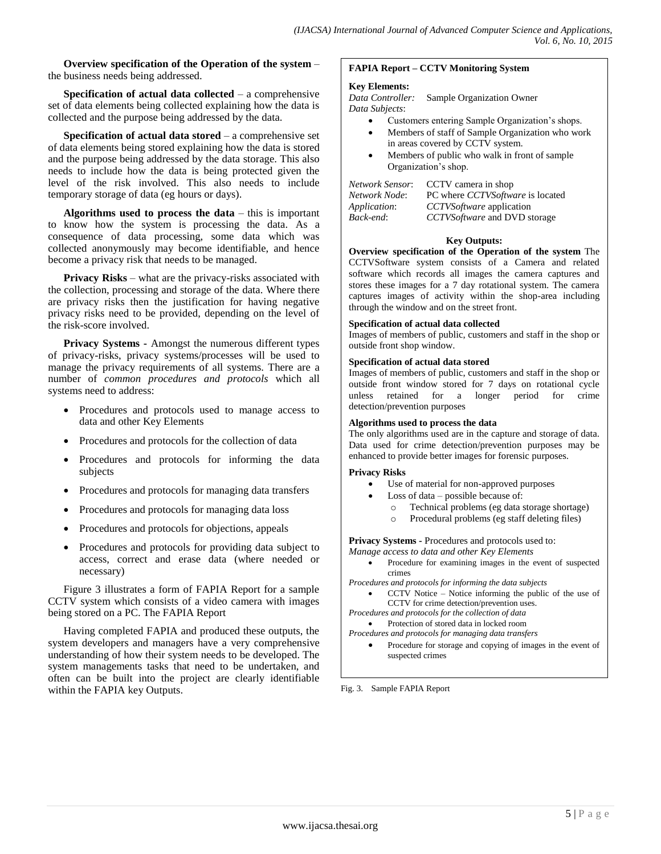**Overview specification of the Operation of the system** – the business needs being addressed.

**Specification of actual data collected** – a comprehensive set of data elements being collected explaining how the data is collected and the purpose being addressed by the data.

**Specification of actual data stored** – a comprehensive set of data elements being stored explaining how the data is stored and the purpose being addressed by the data storage. This also needs to include how the data is being protected given the level of the risk involved. This also needs to include temporary storage of data (eg hours or days).

**Algorithms used to process the data** – this is important to know how the system is processing the data. As a consequence of data processing, some data which was collected anonymously may become identifiable, and hence become a privacy risk that needs to be managed.

**Privacy Risks** – what are the privacy-risks associated with the collection, processing and storage of the data. Where there are privacy risks then the justification for having negative privacy risks need to be provided, depending on the level of the risk-score involved.

**Privacy Systems -** Amongst the numerous different types of privacy-risks, privacy systems/processes will be used to manage the privacy requirements of all systems. There are a number of *common procedures and protocols* which all systems need to address:

- Procedures and protocols used to manage access to data and other Key Elements
- Procedures and protocols for the collection of data
- Procedures and protocols for informing the data subjects
- Procedures and protocols for managing data transfers
- Procedures and protocols for managing data loss
- Procedures and protocols for objections, appeals
- Procedures and protocols for providing data subject to access, correct and erase data (where needed or necessary)

Figure 3 illustrates a form of FAPIA Report for a sample CCTV system which consists of a video camera with images being stored on a PC. The FAPIA Report

Having completed FAPIA and produced these outputs, the system developers and managers have a very comprehensive understanding of how their system needs to be developed. The system managements tasks that need to be undertaken, and often can be built into the project are clearly identifiable within the FAPIA key Outputs. Fig. 3. Sample FAPIA Report

#### **FAPIA Report – CCTV Monitoring System**

#### **Key Elements:**

*Data Controller:* Sample Organization Owner *Data Subjects*:

- Customers entering Sample Organization's shops.
- Members of staff of Sample Organization who work in areas covered by CCTV system.
- Members of public who walk in front of sample Organization's shop.

| Network Sensor: | CCTV camera in shop                       |
|-----------------|-------------------------------------------|
| Network Node:   | PC where <i>CCTVS of tware</i> is located |
| Application:    | CCTVS of tware application                |
| Back-end:       | CCTVS of tware and DVD storage            |
|                 |                                           |

#### **Key Outputs:**

**Overview specification of the Operation of the system** The CCTVSoftware system consists of a Camera and related software which records all images the camera captures and stores these images for a 7 day rotational system. The camera captures images of activity within the shop-area including through the window and on the street front.

#### **Specification of actual data collected**

Images of members of public, customers and staff in the shop or outside front shop window.

#### **Specification of actual data stored**

Images of members of public, customers and staff in the shop or outside front window stored for 7 days on rotational cycle unless retained for a longer period for crime detection/prevention purposes

#### **Algorithms used to process the data**

The only algorithms used are in the capture and storage of data. Data used for crime detection/prevention purposes may be enhanced to provide better images for forensic purposes.

#### **Privacy Risks**

- Use of material for non-approved purposes
- Loss of data possible because of:
	- o Technical problems (eg data storage shortage)
	- o Procedural problems (eg staff deleting files)

**Privacy Systems -** Procedures and protocols used to:

- *Manage access to data and other Key Elements*
	- Procedure for examining images in the event of suspected crimes
- *Procedures and protocols for informing the data subjects*
	- CCTV Notice Notice informing the public of the use of CCTV for crime detection/prevention uses.

*Procedures and protocols for the collection of data*

Protection of stored data in locked room

*Procedures and protocols for managing data transfers* • Procedure for storage and copying of images in the event of suspected crimes